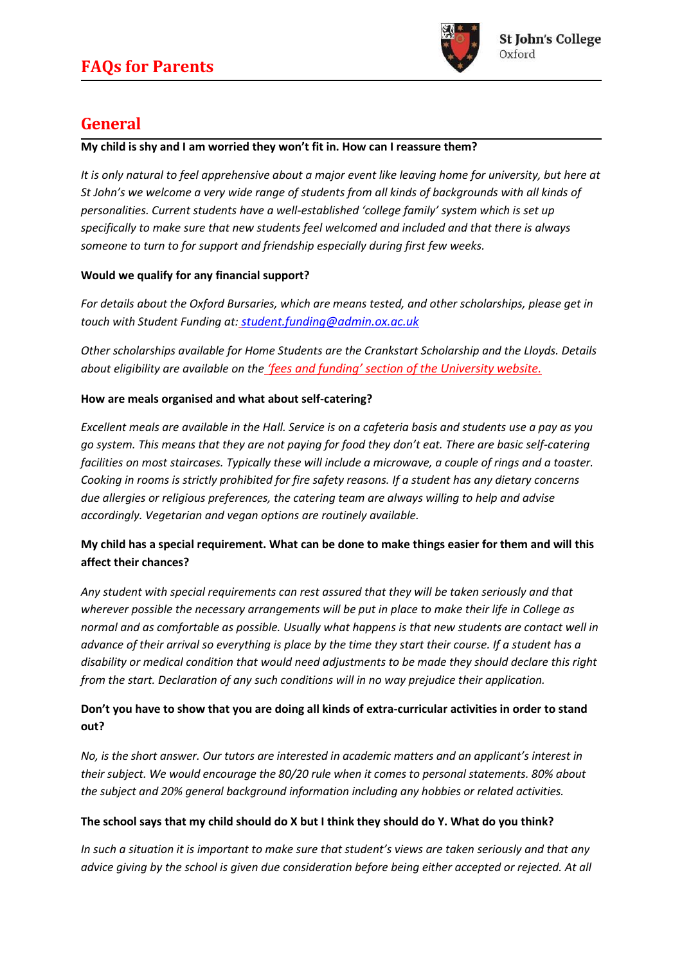

## **General**

#### **My child is shy and I am worried they won't fit in. How can I reassure them?**

*It is only natural to feel apprehensive about a major event like leaving home for university, but here at St John's we welcome a very wide range of students from all kinds of backgrounds with all kinds of personalities. Current students have a well-established 'college family' system which is set up specifically to make sure that new students feel welcomed and included and that there is always someone to turn to for support and friendship especially during first few weeks.*

### **Would we qualify for any financial support?**

*For details about the Oxford Bursaries, which are means tested, and other scholarships, please get in touch with Student Funding at: [student.funding@admin.ox.ac.uk](mailto:student.funding@admin.ox.ac.uk)*

*Other scholarships available for Home Students are the Crankstart Scholarship and the Lloyds. Details about eligibility are available on the 'fees and funding' section of the University website.*

### **How are meals organised and what about self-catering?**

*Excellent meals are available in the Hall. Service is on a cafeteria basis and students use a pay as you go system. This means that they are not paying for food they don't eat. There are basic self-catering facilities on most staircases. Typically these will include a microwave, a couple of rings and a toaster. Cooking in rooms is strictly prohibited for fire safety reasons. If a student has any dietary concerns due allergies or religious preferences, the catering team are always willing to help and advise accordingly. Vegetarian and vegan options are routinely available.*

## **My child has a special requirement. What can be done to make things easier for them and will this affect their chances?**

*Any student with special requirements can rest assured that they will be taken seriously and that wherever possible the necessary arrangements will be put in place to make their life in College as normal and as comfortable as possible. Usually what happens is that new students are contact well in advance of their arrival so everything is place by the time they start their course. If a student has a disability or medical condition that would need adjustments to be made they should declare this right from the start. Declaration of any such conditions will in no way prejudice their application.*

### **Don't you have to show that you are doing all kinds of extra-curricular activities in order to stand out?**

*No, is the short answer. Our tutors are interested in academic matters and an applicant's interest in their subject. We would encourage the 80/20 rule when it comes to personal statements. 80% about the subject and 20% general background information including any hobbies or related activities.*

### **The school says that my child should do X but I think they should do Y. What do you think?**

*In such a situation it is important to make sure that student's views are taken seriously and that any advice giving by the school is given due consideration before being either accepted or rejected. At all*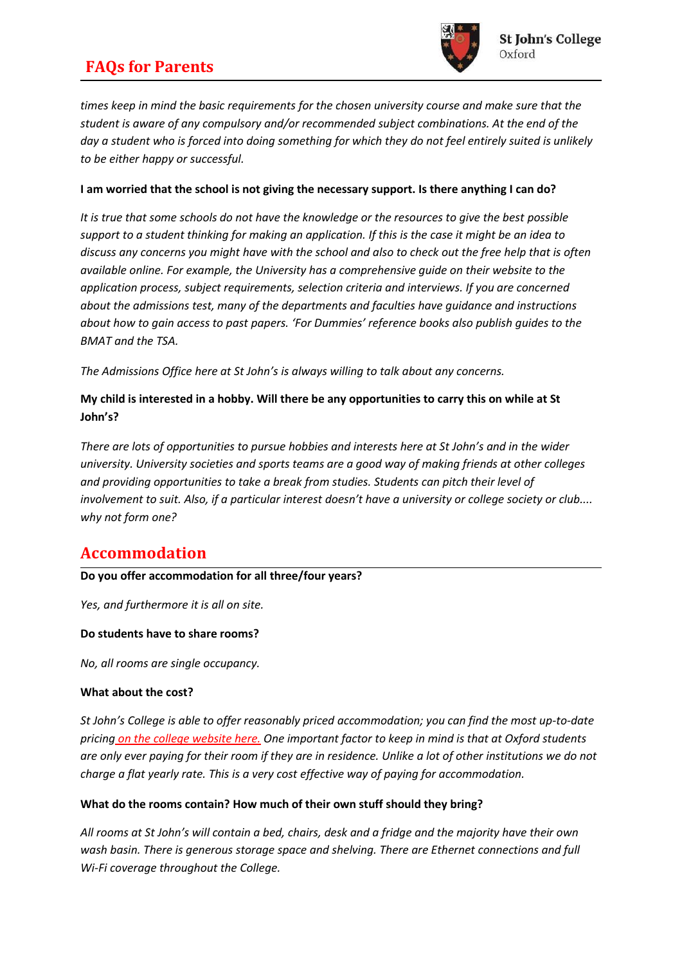## **FAQs for Parents**



*times keep in mind the basic requirements for the chosen university course and make sure that the student is aware of any compulsory and/or recommended subject combinations. At the end of the day a student who is forced into doing something for which they do not feel entirely suited is unlikely to be either happy or successful.*

#### **I am worried that the school is not giving the necessary support. Is there anything I can do?**

*It is true that some schools do not have the knowledge or the resources to give the best possible support to a student thinking for making an application. If this is the case it might be an idea to discuss any concerns you might have with the school and also to check out the free help that is often available online. For example, the University has a comprehensive guide on their website to the application process, subject requirements, selection criteria and interviews. If you are concerned about the admissions test, many of the departments and faculties have guidance and instructions about how to gain access to past papers. 'For Dummies' reference books also publish guides to the BMAT and the TSA.*

*The Admissions Office here at St John's is always willing to talk about any concerns.*

### **My child is interested in a hobby. Will there be any opportunities to carry this on while at St John's?**

*There are lots of opportunities to pursue hobbies and interests here at St John's and in the wider university. University societies and sports teams are a good way of making friends at other colleges and providing opportunities to take a break from studies. Students can pitch their level of involvement to suit. Also, if a particular interest doesn't have a university or college society or club.... why not form one?*

# **Accommodation**

### **Do you offer accommodation for all three/four years?**

*Yes, and furthermore it is all on site.*

#### **Do students have to share rooms?**

*No, all rooms are single occupancy.*

#### **What about the cost?**

*St John's College is able to offer reasonably priced accommodation; you can find the most up-to-date pricing on the college website here. One important factor to keep in mind is that at Oxford students are only ever paying for their room if they are in residence. Unlike a lot of other institutions we do not charge a flat yearly rate. This is a very cost effective way of paying for accommodation.*

#### **What do the rooms contain? How much of their own stuff should they bring?**

*All rooms at St John's will contain a bed, chairs, desk and a fridge and the majority have their own wash basin. There is generous storage space and shelving. There are Ethernet connections and full Wi-Fi coverage throughout the College.*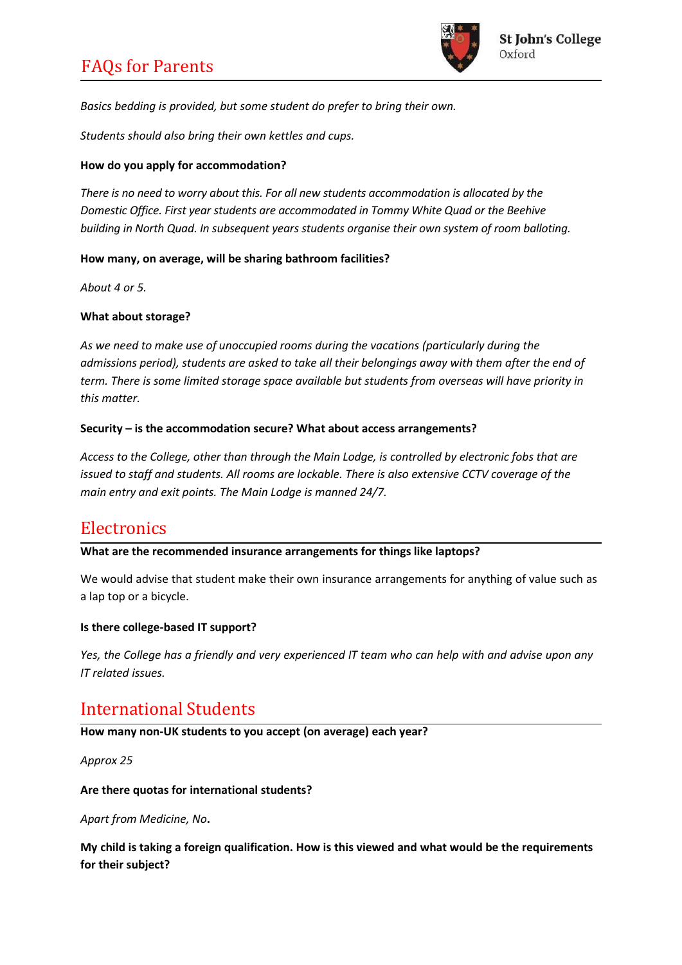

*Basics bedding is provided, but some student do prefer to bring their own.*

*Students should also bring their own kettles and cups.*

#### **How do you apply for accommodation?**

*There is no need to worry about this. For all new students accommodation is allocated by the Domestic Office. First year students are accommodated in Tommy White Quad or the Beehive building in North Quad. In subsequent years students organise their own system of room balloting.*

#### **How many, on average, will be sharing bathroom facilities?**

*About 4 or 5.*

#### **What about storage?**

*As we need to make use of unoccupied rooms during the vacations (particularly during the admissions period), students are asked to take all their belongings away with them after the end of term. There is some limited storage space available but students from overseas will have priority in this matter.*

#### **Security – is the accommodation secure? What about access arrangements?**

*Access to the College, other than through the Main Lodge, is controlled by electronic fobs that are issued to staff and students. All rooms are lockable. There is also extensive CCTV coverage of the main entry and exit points. The Main Lodge is manned 24/7.*

## **Electronics**

#### **What are the recommended insurance arrangements for things like laptops?**

We would advise that student make their own insurance arrangements for anything of value such as a lap top or a bicycle.

#### **Is there college-based IT support?**

*Yes, the College has a friendly and very experienced IT team who can help with and advise upon any IT related issues.*

## International Students

**How many non-UK students to you accept (on average) each year?**

*Approx 25*

#### **Are there quotas for international students?**

*Apart from Medicine, No***.**

**My child is taking a foreign qualification. How is this viewed and what would be the requirements for their subject?**